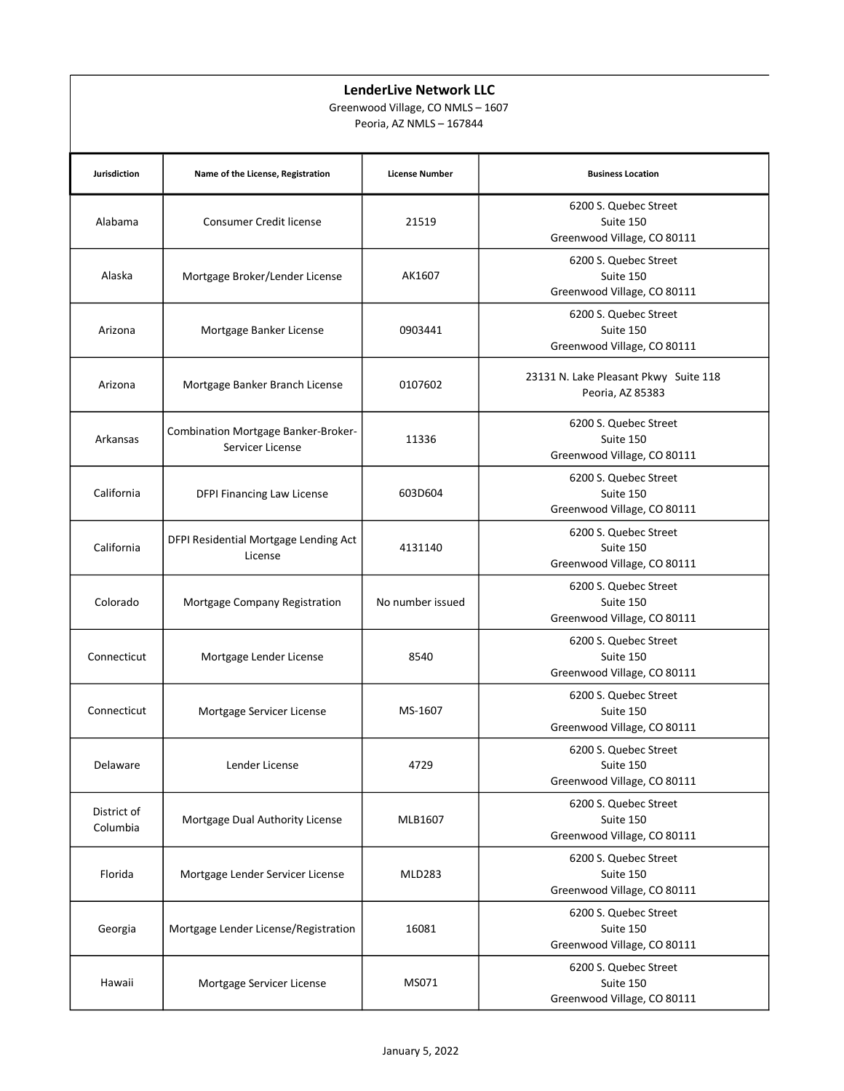## LenderLive Network LLC

Greenwood Village, CO NMLS – 1607 Peoria, AZ NMLS – 167844

| <b>Jurisdiction</b>     | Name of the License, Registration                       | <b>License Number</b> | <b>Business Location</b>                                          |
|-------------------------|---------------------------------------------------------|-----------------------|-------------------------------------------------------------------|
| Alabama                 | <b>Consumer Credit license</b>                          | 21519                 | 6200 S. Quebec Street<br>Suite 150<br>Greenwood Village, CO 80111 |
| Alaska                  | Mortgage Broker/Lender License                          | AK1607                | 6200 S. Quebec Street<br>Suite 150<br>Greenwood Village, CO 80111 |
| Arizona                 | Mortgage Banker License                                 | 0903441               | 6200 S. Quebec Street<br>Suite 150<br>Greenwood Village, CO 80111 |
| Arizona                 | Mortgage Banker Branch License                          | 0107602               | 23131 N. Lake Pleasant Pkwy Suite 118<br>Peoria, AZ 85383         |
| Arkansas                | Combination Mortgage Banker-Broker-<br>Servicer License | 11336                 | 6200 S. Quebec Street<br>Suite 150<br>Greenwood Village, CO 80111 |
| California              | <b>DFPI Financing Law License</b>                       | 603D604               | 6200 S. Quebec Street<br>Suite 150<br>Greenwood Village, CO 80111 |
| California              | DFPI Residential Mortgage Lending Act<br>License        | 4131140               | 6200 S. Quebec Street<br>Suite 150<br>Greenwood Village, CO 80111 |
| Colorado                | Mortgage Company Registration                           | No number issued      | 6200 S. Quebec Street<br>Suite 150<br>Greenwood Village, CO 80111 |
| Connecticut             | Mortgage Lender License                                 | 8540                  | 6200 S. Quebec Street<br>Suite 150<br>Greenwood Village, CO 80111 |
| Connecticut             | Mortgage Servicer License                               | MS-1607               | 6200 S. Quebec Street<br>Suite 150<br>Greenwood Village, CO 80111 |
| Delaware                | Lender License                                          | 4729                  | 6200 S. Quebec Street<br>Suite 150<br>Greenwood Village, CO 80111 |
| District of<br>Columbia | Mortgage Dual Authority License                         | MLB1607               | 6200 S. Quebec Street<br>Suite 150<br>Greenwood Village, CO 80111 |
| Florida                 | Mortgage Lender Servicer License                        | <b>MLD283</b>         | 6200 S. Quebec Street<br>Suite 150<br>Greenwood Village, CO 80111 |
| Georgia                 | Mortgage Lender License/Registration                    | 16081                 | 6200 S. Quebec Street<br>Suite 150<br>Greenwood Village, CO 80111 |
| Hawaii                  | Mortgage Servicer License                               | MS071                 | 6200 S. Quebec Street<br>Suite 150<br>Greenwood Village, CO 80111 |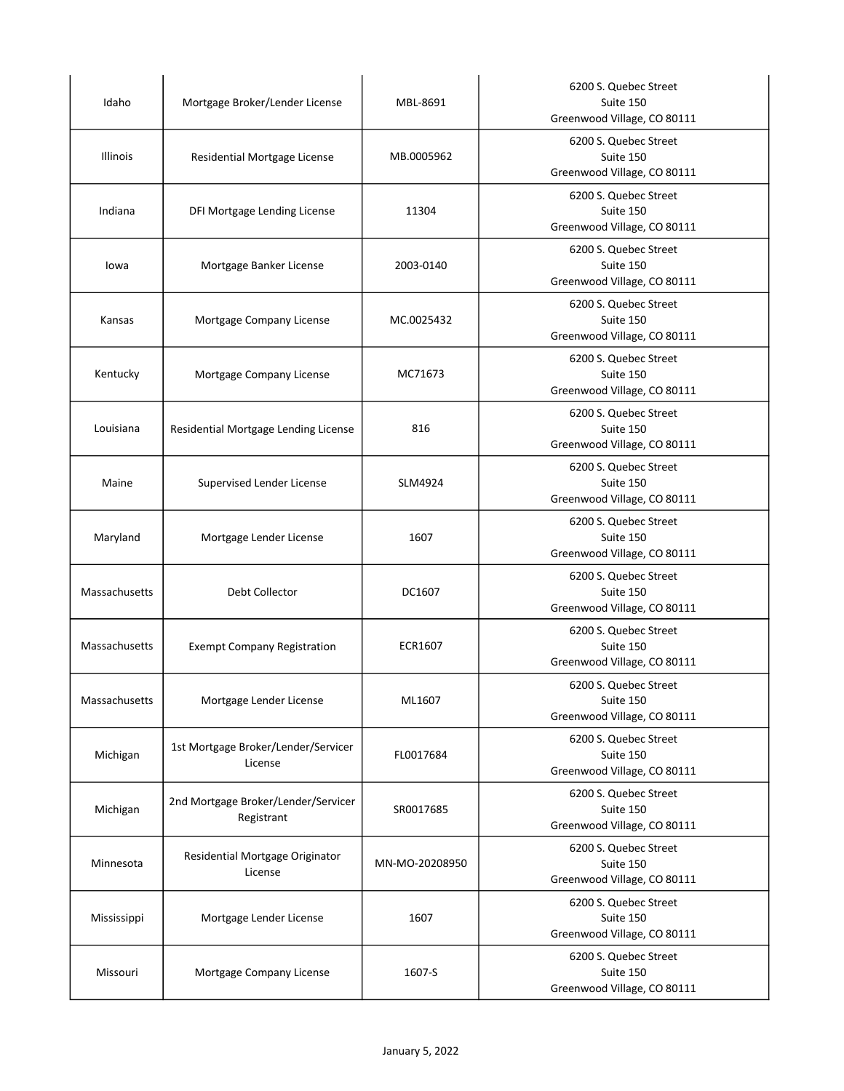| Idaho           | Mortgage Broker/Lender License                    | MBL-8691       | 6200 S. Quebec Street<br>Suite 150<br>Greenwood Village, CO 80111 |
|-----------------|---------------------------------------------------|----------------|-------------------------------------------------------------------|
| <b>Illinois</b> | Residential Mortgage License                      | MB.0005962     | 6200 S. Quebec Street<br>Suite 150<br>Greenwood Village, CO 80111 |
| Indiana         | DFI Mortgage Lending License                      | 11304          | 6200 S. Quebec Street<br>Suite 150<br>Greenwood Village, CO 80111 |
| lowa            | Mortgage Banker License                           | 2003-0140      | 6200 S. Quebec Street<br>Suite 150<br>Greenwood Village, CO 80111 |
| Kansas          | Mortgage Company License                          | MC.0025432     | 6200 S. Quebec Street<br>Suite 150<br>Greenwood Village, CO 80111 |
| Kentucky        | Mortgage Company License                          | MC71673        | 6200 S. Quebec Street<br>Suite 150<br>Greenwood Village, CO 80111 |
| Louisiana       | Residential Mortgage Lending License              | 816            | 6200 S. Quebec Street<br>Suite 150<br>Greenwood Village, CO 80111 |
| Maine           | <b>Supervised Lender License</b>                  | SLM4924        | 6200 S. Quebec Street<br>Suite 150<br>Greenwood Village, CO 80111 |
| Maryland        | Mortgage Lender License                           | 1607           | 6200 S. Quebec Street<br>Suite 150<br>Greenwood Village, CO 80111 |
| Massachusetts   | Debt Collector                                    | DC1607         | 6200 S. Quebec Street<br>Suite 150<br>Greenwood Village, CO 80111 |
| Massachusetts   | <b>Exempt Company Registration</b>                | ECR1607        | 6200 S. Quebec Street<br>Suite 150<br>Greenwood Village, CO 80111 |
| Massachusetts   | Mortgage Lender License                           | ML1607         | 6200 S. Quebec Street<br>Suite 150<br>Greenwood Village, CO 80111 |
| Michigan        | 1st Mortgage Broker/Lender/Servicer<br>License    | FL0017684      | 6200 S. Quebec Street<br>Suite 150<br>Greenwood Village, CO 80111 |
| Michigan        | 2nd Mortgage Broker/Lender/Servicer<br>Registrant | SR0017685      | 6200 S. Quebec Street<br>Suite 150<br>Greenwood Village, CO 80111 |
| Minnesota       | Residential Mortgage Originator<br>License        | MN-MO-20208950 | 6200 S. Quebec Street<br>Suite 150<br>Greenwood Village, CO 80111 |
| Mississippi     | Mortgage Lender License                           | 1607           | 6200 S. Quebec Street<br>Suite 150<br>Greenwood Village, CO 80111 |
| Missouri        | Mortgage Company License                          | 1607-S         | 6200 S. Quebec Street<br>Suite 150<br>Greenwood Village, CO 80111 |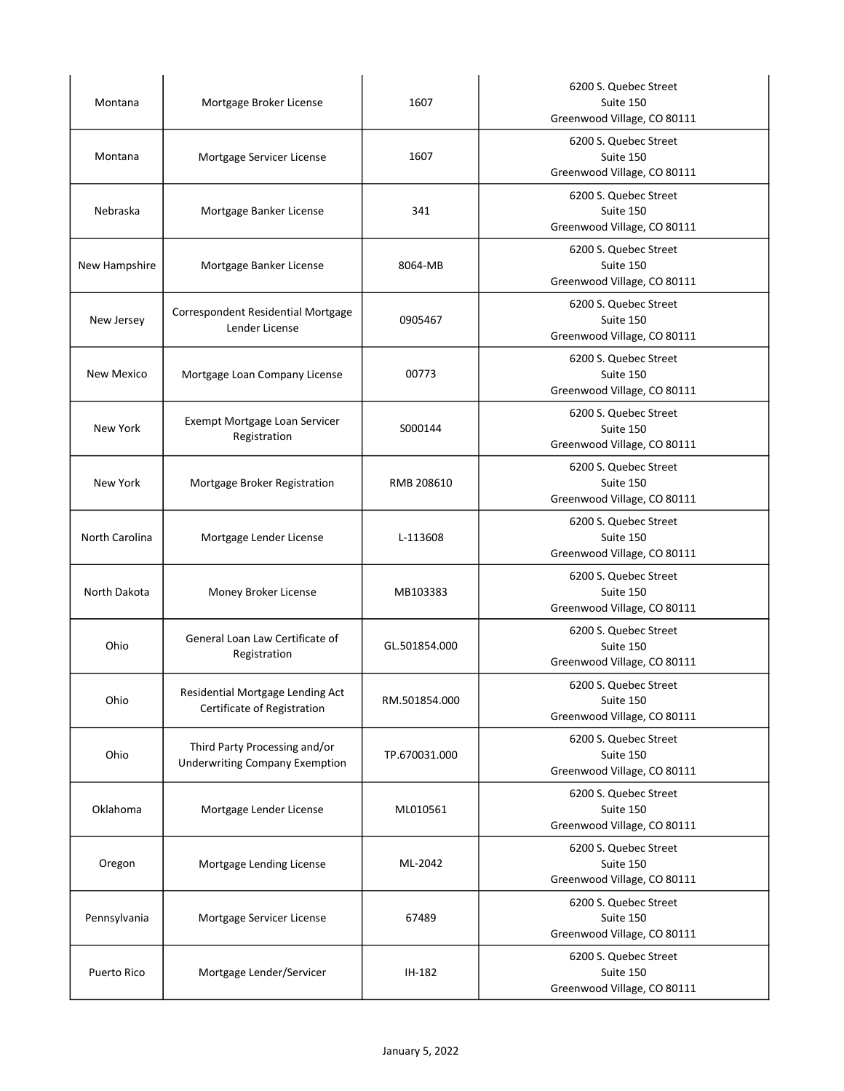| Montana        | Mortgage Broker License                                                | 1607          | 6200 S. Quebec Street<br>Suite 150<br>Greenwood Village, CO 80111 |
|----------------|------------------------------------------------------------------------|---------------|-------------------------------------------------------------------|
| Montana        | Mortgage Servicer License                                              | 1607          | 6200 S. Quebec Street<br>Suite 150<br>Greenwood Village, CO 80111 |
| Nebraska       | Mortgage Banker License                                                | 341           | 6200 S. Quebec Street<br>Suite 150<br>Greenwood Village, CO 80111 |
| New Hampshire  | Mortgage Banker License                                                | 8064-MB       | 6200 S. Quebec Street<br>Suite 150<br>Greenwood Village, CO 80111 |
| New Jersey     | Correspondent Residential Mortgage<br>Lender License                   | 0905467       | 6200 S. Quebec Street<br>Suite 150<br>Greenwood Village, CO 80111 |
| New Mexico     | Mortgage Loan Company License                                          | 00773         | 6200 S. Quebec Street<br>Suite 150<br>Greenwood Village, CO 80111 |
| New York       | Exempt Mortgage Loan Servicer<br>Registration                          | S000144       | 6200 S. Quebec Street<br>Suite 150<br>Greenwood Village, CO 80111 |
| New York       | Mortgage Broker Registration                                           | RMB 208610    | 6200 S. Quebec Street<br>Suite 150<br>Greenwood Village, CO 80111 |
| North Carolina | Mortgage Lender License                                                | L-113608      | 6200 S. Quebec Street<br>Suite 150<br>Greenwood Village, CO 80111 |
| North Dakota   | Money Broker License                                                   | MB103383      | 6200 S. Quebec Street<br>Suite 150<br>Greenwood Village, CO 80111 |
| Ohio           | General Loan Law Certificate of<br>Registration                        | GL.501854.000 | 6200 S. Quebec Street<br>Suite 150<br>Greenwood Village, CO 80111 |
| Ohio           | Residential Mortgage Lending Act<br>Certificate of Registration        | RM.501854.000 | 6200 S. Quebec Street<br>Suite 150<br>Greenwood Village, CO 80111 |
| Ohio           | Third Party Processing and/or<br><b>Underwriting Company Exemption</b> | TP.670031.000 | 6200 S. Quebec Street<br>Suite 150<br>Greenwood Village, CO 80111 |
| Oklahoma       | Mortgage Lender License                                                | ML010561      | 6200 S. Quebec Street<br>Suite 150<br>Greenwood Village, CO 80111 |
| Oregon         | Mortgage Lending License                                               | ML-2042       | 6200 S. Quebec Street<br>Suite 150<br>Greenwood Village, CO 80111 |
| Pennsylvania   | Mortgage Servicer License                                              | 67489         | 6200 S. Quebec Street<br>Suite 150<br>Greenwood Village, CO 80111 |
| Puerto Rico    | Mortgage Lender/Servicer                                               | IH-182        | 6200 S. Quebec Street<br>Suite 150<br>Greenwood Village, CO 80111 |